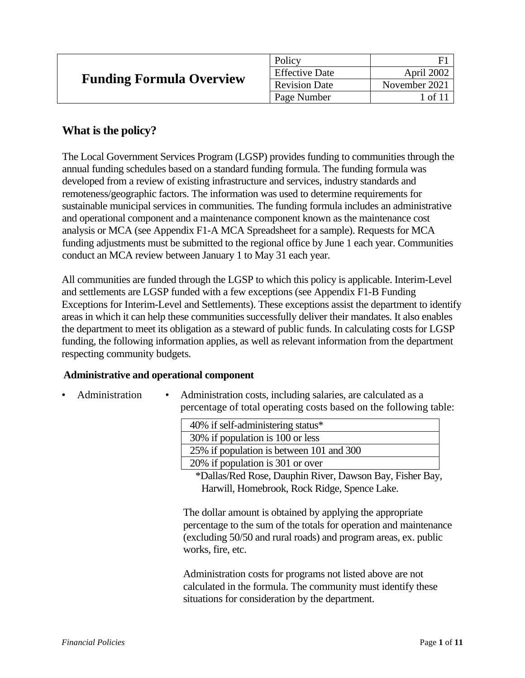| <b>Funding Formula Overview</b> | Policy                |               |
|---------------------------------|-----------------------|---------------|
|                                 | <b>Effective Date</b> | April 2002    |
|                                 | <b>Revision Date</b>  | November 2021 |
|                                 | Page Number           | of            |

# **What is the policy?**

The Local Government Services Program (LGSP) provides funding to communities through the annual funding schedules based on a standard funding formula. The funding formula was developed from a review of existing infrastructure and services, industry standards and remoteness/geographic factors. The information was used to determine requirements for sustainable municipal services in communities. The funding formula includes an administrative and operational component and a maintenance component known as the maintenance cost analysis or MCA (see Appendix F1-A MCA Spreadsheet for a sample). Requests for MCA funding adjustments must be submitted to the regional office by June 1 each year. Communities conduct an MCA review between January 1 to May 31 each year.

All communities are funded through the LGSP to which this policy is applicable. Interim-Level and settlements are LGSP funded with a few exceptions (see Appendix F1-B Funding Exceptions for Interim-Level and Settlements). These exceptions assist the department to identify areas in which it can help these communities successfully deliver their mandates. It also enables the department to meet its obligation as a steward of public funds. In calculating costs for LGSP funding, the following information applies, as well as relevant information from the department respecting community budgets.

### **Administrative and operational component**

Administration • Administration costs, including salaries, are calculated as a percentage of total operating costs based on the following table:

| 40% if self-administering status*        |
|------------------------------------------|
| 30% if population is 100 or less         |
| 25% if population is between 101 and 300 |
| 20% if population is 301 or over         |

\*Dallas/Red Rose, Dauphin River, Dawson Bay, Fisher Bay, Harwill, Homebrook, Rock Ridge, Spence Lake.

The dollar amount is obtained by applying the appropriate percentage to the sum of the totals for operation and maintenance (excluding 50/50 and rural roads) and program areas, ex. public works, fire, etc.

Administration costs for programs not listed above are not calculated in the formula. The community must identify these situations for consideration by the department.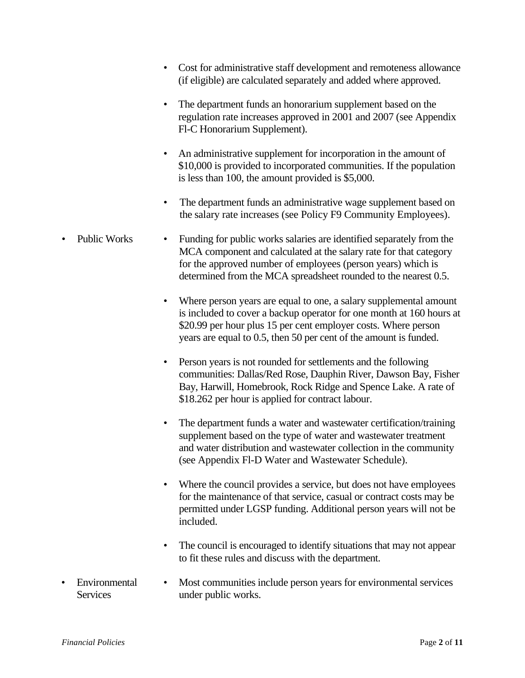• Cost for administrative staff development and remoteness allowance (if eligible) are calculated separately and added where approved. • The department funds an honorarium supplement based on the regulation rate increases approved in 2001 and 2007 (see Appendix Fl-C Honorarium Supplement). • An administrative supplement for incorporation in the amount of \$10,000 is provided to incorporated communities. If the population is less than 100, the amount provided is \$5,000. • The department funds an administrative wage supplement based on the salary rate increases (see Policy F9 Community Employees). Public Works • Funding for public works salaries are identified separately from the MCA component and calculated at the salary rate for that category for the approved number of employees (person years) which is determined from the MCA spreadsheet rounded to the nearest 0.5. Where person years are equal to one, a salary supplemental amount is included to cover a backup operator for one month at 160 hours at \$20.99 per hour plus 15 per cent employer costs. Where person years are equal to 0.5, then 50 per cent of the amount is funded. • Person years is not rounded for settlements and the following communities: Dallas/Red Rose, Dauphin River, Dawson Bay, Fisher Bay, Harwill, Homebrook, Rock Ridge and Spence Lake. A rate of \$18.262 per hour is applied for contract labour. • The department funds a water and wastewater certification/training supplement based on the type of water and wastewater treatment and water distribution and wastewater collection in the community (see Appendix Fl-D Water and Wastewater Schedule). • Where the council provides a service, but does not have employees for the maintenance of that service, casual or contract costs may be permitted under LGSP funding. Additional person years will not be included. • The council is encouraged to identify situations that may not appear to fit these rules and discuss with the department. **Environmental Services** • Most communities include person years for environmental services under public works.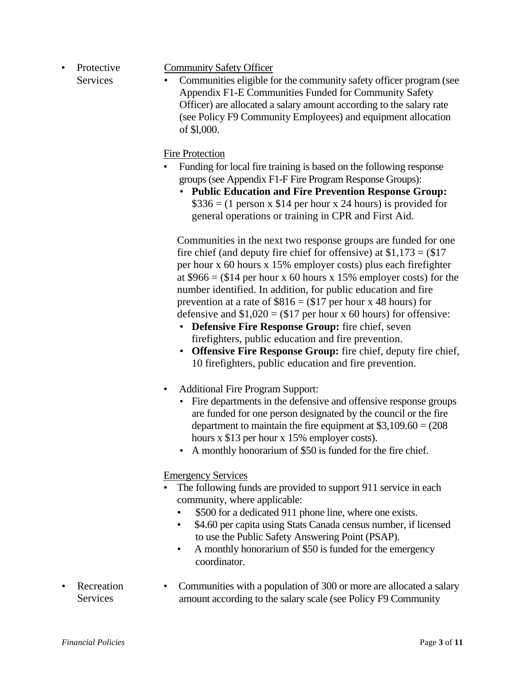• Protective **Services** 

### Community Safety Officer

• Communities eligible for the community safety officer program (see Appendix F1-E Communities Funded for Community Safety Officer) are allocated a salary amount according to the salary rate (see Policy F9 Community Employees) and equipment allocation of \$l,000.

## Fire Protection

- Funding for local fire training is based on the following response groups (see Appendix F1-F Fire Program Response Groups):
	- **Public Education and Fire Prevention Response Group:**   $$336 = (1 \text{ person } x \$14 \text{ per hour } x \text{ 24 hours})$  is provided for general operations or training in CPR and First Aid.

Communities in the next two response groups are funded for one fire chief (and deputy fire chief for offensive) at  $$1,173 = ($17$ per hour x 60 hours x 15% employer costs) plus each firefighter at  $$966 = ($14$  per hour x 60 hours x 15% employer costs) for the number identified. In addition, for public education and fire prevention at a rate of  $$816 = ($17 \text{ per hour x } 48 \text{ hours})$  for defensive and  $$1,020 = ($17$  per hour x 60 hours) for offensive:

- **Defensive Fire Response Group:** fire chief, seven firefighters, public education and fire prevention.
- **Offensive Fire Response Group:** fire chief, deputy fire chief, 10 firefighters, public education and fire prevention.
- Additional Fire Program Support:
	- Fire departments in the defensive and offensive response groups are funded for one person designated by the council or the fire department to maintain the fire equipment at  $$3,109.60 = (208)$ hours x \$13 per hour x 15% employer costs).
	- A monthly honorarium of \$50 is funded for the fire chief.

Emergency Services

- The following funds are provided to support 911 service in each community, where applicable:
	- \$500 for a dedicated 911 phone line, where one exists.
	- \$4.60 per capita using Stats Canada census number, if licensed to use the Public Safety Answering Point (PSAP).
	- A monthly honorarium of \$50 is funded for the emergency coordinator.
- **Recreation** Services • Communities with a population of 300 or more are allocated a salary amount according to the salary scale (see Policy F9 Community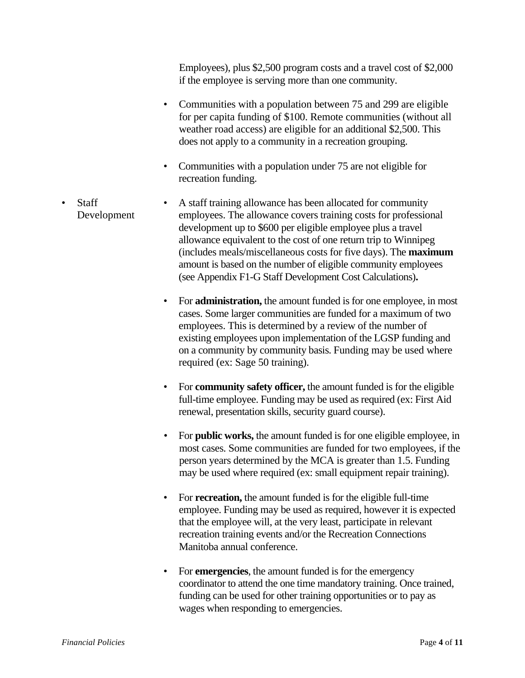Employees), plus \$2,500 program costs and a travel cost of \$2,000 if the employee is serving more than one community.

- Communities with a population between 75 and 299 are eligible for per capita funding of \$100. Remote communities (without all weather road access) are eligible for an additional \$2,500. This does not apply to a community in a recreation grouping.
- Communities with a population under 75 are not eligible for recreation funding.
- Staff Development • A staff training allowance has been allocated for community employees. The allowance covers training costs for professional development up to \$600 per eligible employee plus a travel allowance equivalent to the cost of one return trip to Winnipeg (includes meals/miscellaneous costs for five days). The **maximum**  amount is based on the number of eligible community employees (see Appendix F1-G Staff Development Cost Calculations)**.**
	- For **administration,** the amount funded is for one employee, in most cases. Some larger communities are funded for a maximum of two employees. This is determined by a review of the number of existing employees upon implementation of the LGSP funding and on a community by community basis. Funding may be used where required (ex: Sage 50 training).
	- For **community safety officer,** the amount funded is for the eligible full-time employee. Funding may be used as required (ex: First Aid renewal, presentation skills, security guard course).
	- For **public works,** the amount funded is for one eligible employee, in most cases. Some communities are funded for two employees, if the person years determined by the MCA is greater than 1.5. Funding may be used where required (ex: small equipment repair training).
	- For **recreation,** the amount funded is for the eligible full-time employee. Funding may be used as required, however it is expected that the employee will, at the very least, participate in relevant recreation training events and/or the Recreation Connections Manitoba annual conference.
	- For **emergencies**, the amount funded is for the emergency coordinator to attend the one time mandatory training. Once trained, funding can be used for other training opportunities or to pay as wages when responding to emergencies.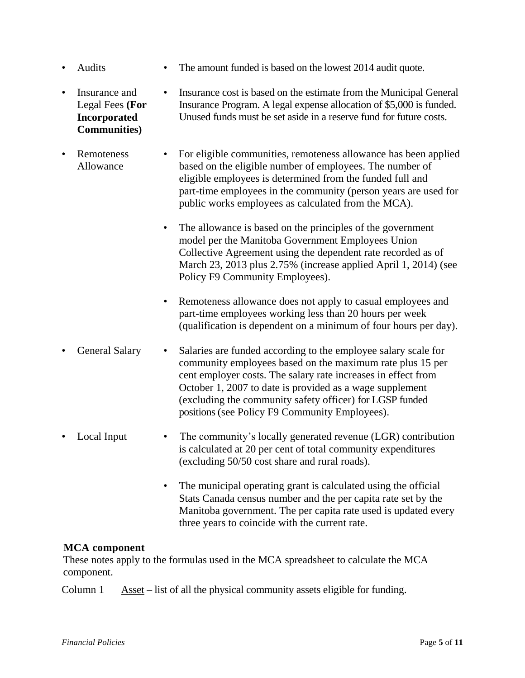- Audits The amount funded is based on the lowest 2014 audit quote.
- Insurance and Legal Fees **(For Incorporated Communities)** • Insurance cost is based on the estimate from the Municipal General Insurance Program. A legal expense allocation of \$5,000 is funded. Unused funds must be set aside in a reserve fund for future costs.
- Remoteness Allowance • For eligible communities, remoteness allowance has been applied based on the eligible number of employees. The number of eligible employees is determined from the funded full and part-time employees in the community (person years are used for public works employees as calculated from the MCA).
	- The allowance is based on the principles of the government model per the Manitoba Government Employees Union Collective Agreement using the dependent rate recorded as of March 23, 2013 plus 2.75% (increase applied April 1, 2014) (see Policy F9 Community Employees).
	- Remoteness allowance does not apply to casual employees and part-time employees working less than 20 hours per week (qualification is dependent on a minimum of four hours per day).
- General Salary Salaries are funded according to the employee salary scale for community employees based on the maximum rate plus 15 per cent employer costs. The salary rate increases in effect from October 1, 2007 to date is provided as a wage supplement (excluding the community safety officer) for LGSP funded positions(see Policy F9 Community Employees).
- Local Input The community's locally generated revenue (LGR) contribution is calculated at 20 per cent of total community expenditures (excluding 50/50 cost share and rural roads).
	- The municipal operating grant is calculated using the official Stats Canada census number and the per capita rate set by the Manitoba government. The per capita rate used is updated every three years to coincide with the current rate.

### **MCA component**

These notes apply to the formulas used in the MCA spreadsheet to calculate the MCA component.

Column 1 Asset – list of all the physical community assets eligible for funding.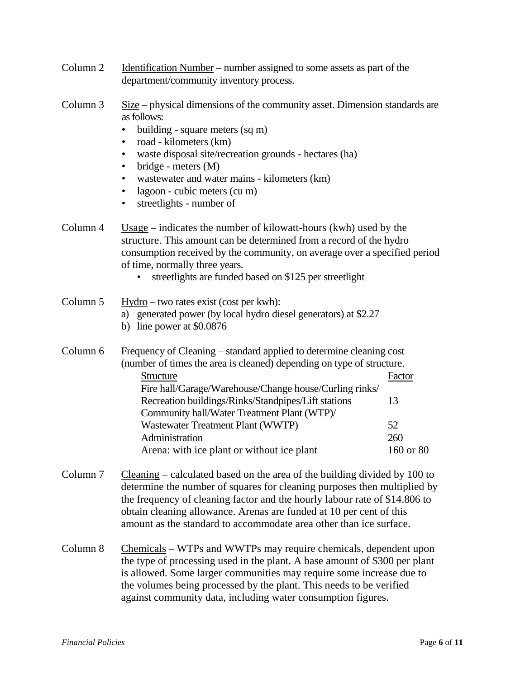| Column 2 | Identification Number – number assigned to some assets as part of the |
|----------|-----------------------------------------------------------------------|
|          | department/community inventory process.                               |

- Column 3 Size physical dimensions of the community asset. Dimension standards are as follows:
	- building square meters (sq m)
	- road kilometers (km)
	- waste disposal site/recreation grounds hectares (ha)
	- bridge meters (M)
	- wastewater and water mains kilometers (km)
	- lagoon cubic meters (cu m)
	- streetlights number of
- Column 4 Usage indicates the number of kilowatt-hours (kwh) used by the structure. This amount can be determined from a record of the hydro consumption received by the community, on average over a specified period of time, normally three years.
	- streetlights are funded based on \$125 per streetlight
- Column 5 Hydro two rates exist (cost per kwh):
	- a) generated power (by local hydro diesel generators) at \$2.27
	- b) line power at \$0.0876

Column 6 Frequency of Cleaning – standard applied to determine cleaning cost (number of times the area is cleaned) depending on type of structure. Structure Factor Fire hall/Garage/Warehouse/Change house/Curling rinks/ Recreation buildings/Rinks/Standpipes/Lift stations 13 Community hall/Water Treatment Plant (WTP)/ Wastewater Treatment Plant (WWTP) 52 Administration 260 Arena: with ice plant or without ice plant 160 or 80

- Column 7 Cleaning calculated based on the area of the building divided by 100 to determine the number of squares for cleaning purposes then multiplied by the frequency of cleaning factor and the hourly labour rate of \$14.806 to obtain cleaning allowance. Arenas are funded at 10 per cent of this amount as the standard to accommodate area other than ice surface.
- Column 8 Chemicals WTPs and WWTPs may require chemicals, dependent upon the type of processing used in the plant. A base amount of \$300 per plant is allowed. Some larger communities may require some increase due to the volumes being processed by the plant. This needs to be verified against community data, including water consumption figures.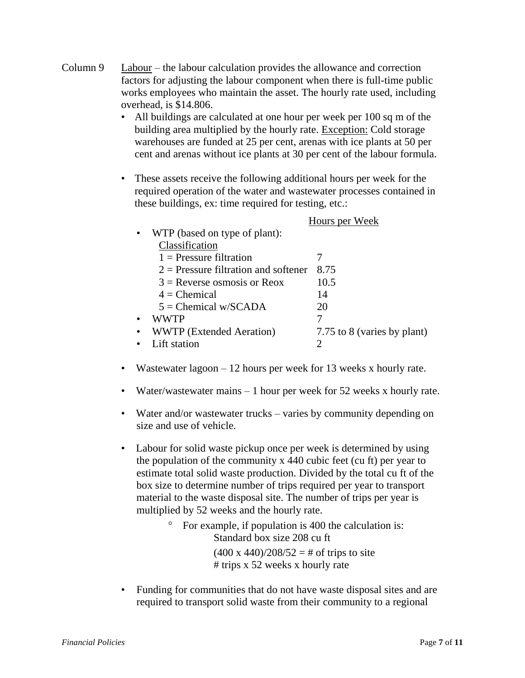- Column 9 Labour the labour calculation provides the allowance and correction factors for adjusting the labour component when there is full-time public works employees who maintain the asset. The hourly rate used, including overhead, is \$14.806.
	- All buildings are calculated at one hour per week per 100 sq m of the building area multiplied by the hourly rate. Exception: Cold storage warehouses are funded at 25 per cent, arenas with ice plants at 50 per cent and arenas without ice plants at 30 per cent of the labour formula.
	- These assets receive the following additional hours per week for the required operation of the water and wastewater processes contained in these buildings, ex: time required for testing, etc.:

|                                        | Hours per Week              |  |
|----------------------------------------|-----------------------------|--|
| WTP (based on type of plant):          |                             |  |
| Classification                         |                             |  |
| $1$ = Pressure filtration              |                             |  |
| $2$ = Pressure filtration and softener | 8.75                        |  |
| $3$ = Reverse osmosis or Reox          | 10.5                        |  |
| $4 =$ Chemical                         | 14                          |  |
| $5 =$ Chemical w/SCADA                 | 20                          |  |
| WWTP                                   |                             |  |
| <b>WWTP</b> (Extended Aeration)        | 7.75 to 8 (varies by plant) |  |
| Lift station                           |                             |  |

- Wastewater lagoon 12 hours per week for 13 weeks x hourly rate.
- Water/wastewater mains 1 hour per week for 52 weeks x hourly rate.
- Water and/or wastewater trucks varies by community depending on size and use of vehicle.
- Labour for solid waste pickup once per week is determined by using the population of the community x 440 cubic feet (cu ft) per year to estimate total solid waste production. Divided by the total cu ft of the box size to determine number of trips required per year to transport material to the waste disposal site. The number of trips per year is multiplied by 52 weeks and the hourly rate.
	- $\degree$  For example, if population is 400 the calculation is: Standard box size 208 cu ft  $(400 \times 440)/208/52 = #$  of trips to site # trips x 52 weeks x hourly rate
- Funding for communities that do not have waste disposal sites and are required to transport solid waste from their community to a regional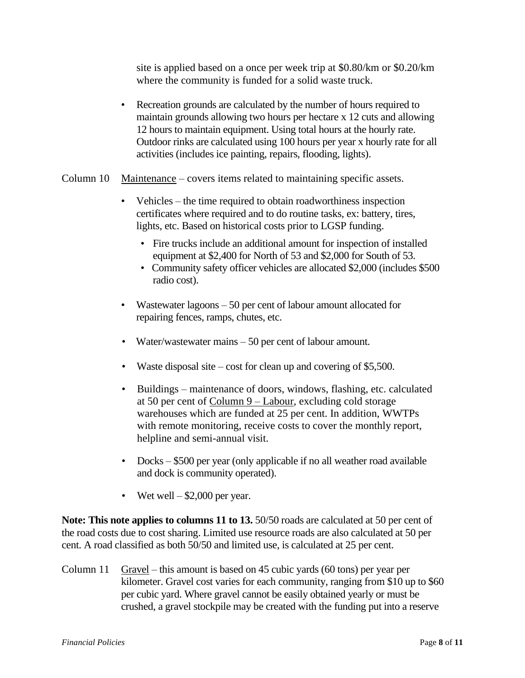site is applied based on a once per week trip at \$0.80/km or \$0.20/km where the community is funded for a solid waste truck.

- Recreation grounds are calculated by the number of hours required to maintain grounds allowing two hours per hectare x 12 cuts and allowing 12 hours to maintain equipment. Using total hours at the hourly rate. Outdoor rinks are calculated using 100 hours per year x hourly rate for all activities (includes ice painting, repairs, flooding, lights).
- Column 10 Maintenance covers items related to maintaining specific assets.
	- Vehicles the time required to obtain roadworthiness inspection certificates where required and to do routine tasks, ex: battery, tires, lights, etc. Based on historical costs prior to LGSP funding.
		- Fire trucks include an additional amount for inspection of installed equipment at \$2,400 for North of 53 and \$2,000 for South of 53.
		- Community safety officer vehicles are allocated \$2,000 (includes \$500 radio cost).
	- Wastewater lagoons 50 per cent of labour amount allocated for repairing fences, ramps, chutes, etc.
	- Water/wastewater mains 50 per cent of labour amount.
	- Waste disposal site cost for clean up and covering of \$5,500.
	- Buildings maintenance of doors, windows, flashing, etc. calculated at 50 per cent of Column 9 – Labour, excluding cold storage warehouses which are funded at 25 per cent. In addition, WWTPs with remote monitoring, receive costs to cover the monthly report, helpline and semi-annual visit.
	- Docks \$500 per year (only applicable if no all weather road available and dock is community operated).
	- Wet well  $-$  \$2,000 per year.

**Note: This note applies to columns 11 to 13.**  $50/50$  roads are calculated at 50 per cent of the road costs due to cost sharing. Limited use resource roads are also calculated at 50 per cent. A road classified as both 50/50 and limited use, is calculated at 25 per cent.

Column 11 Gravel – this amount is based on 45 cubic yards (60 tons) per year per kilometer. Gravel cost varies for each community, ranging from \$10 up to \$60 per cubic yard. Where gravel cannot be easily obtained yearly or must be crushed, a gravel stockpile may be created with the funding put into a reserve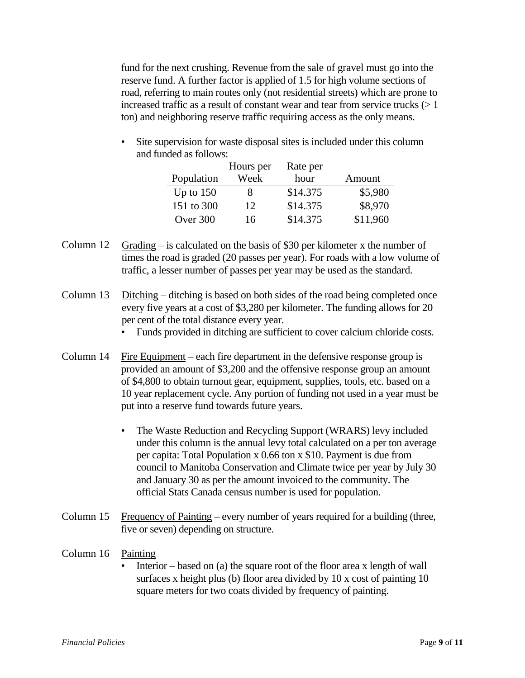fund for the next crushing. Revenue from the sale of gravel must go into the reserve fund. A further factor is applied of 1.5 for high volume sections of road, referring to main routes only (not residential streets) which are prone to increased traffic as a result of constant wear and tear from service trucks  $(>1)$ ton) and neighboring reserve traffic requiring access as the only means.

• Site supervision for waste disposal sites is included under this column and funded as follows:

|             | Hours per | Rate per |          |
|-------------|-----------|----------|----------|
| Population  | Week      | hour     | Amount   |
| Up to $150$ | 8         | \$14.375 | \$5,980  |
| 151 to 300  | 12        | \$14.375 | \$8,970  |
| Over 300    | 16        | \$14.375 | \$11,960 |

- Column 12 Grading is calculated on the basis of \$30 per kilometer x the number of times the road is graded (20 passes per year). For roads with a low volume of traffic, a lesser number of passes per year may be used as the standard.
- Column 13 Ditching ditching is based on both sides of the road being completed once every five years at a cost of \$3,280 per kilometer. The funding allows for 20 per cent of the total distance every year.
	- Funds provided in ditching are sufficient to cover calcium chloride costs.
- Column 14 Fire Equipment each fire department in the defensive response group is provided an amount of \$3,200 and the offensive response group an amount of \$4,800 to obtain turnout gear, equipment, supplies, tools, etc. based on a 10 year replacement cycle. Any portion of funding not used in a year must be put into a reserve fund towards future years.
	- The Waste Reduction and Recycling Support (WRARS) levy included under this column is the annual levy total calculated on a per ton average per capita: Total Population x 0.66 ton x \$10. Payment is due from council to Manitoba Conservation and Climate twice per year by July 30 and January 30 as per the amount invoiced to the community. The official Stats Canada census number is used for population.
- Column 15 Frequency of Painting every number of years required for a building (three, five or seven) depending on structure.

### Column 16 Painting

Interior – based on (a) the square root of the floor area x length of wall surfaces x height plus (b) floor area divided by 10 x cost of painting 10 square meters for two coats divided by frequency of painting.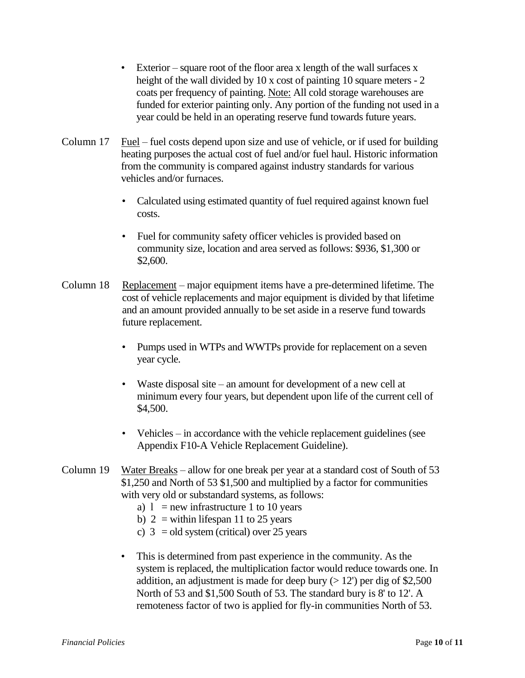- Exterior square root of the floor area x length of the wall surfaces x height of the wall divided by 10 x cost of painting 10 square meters - 2 coats per frequency of painting. Note: All cold storage warehouses are funded for exterior painting only. Any portion of the funding not used in a year could be held in an operating reserve fund towards future years.
- Column 17 Fuel fuel costs depend upon size and use of vehicle, or if used for building heating purposes the actual cost of fuel and/or fuel haul. Historic information from the community is compared against industry standards for various vehicles and/or furnaces.
	- Calculated using estimated quantity of fuel required against known fuel costs.
	- Fuel for community safety officer vehicles is provided based on community size, location and area served as follows: \$936, \$1,300 or \$2,600.
- Column 18 Replacement major equipment items have a pre-determined lifetime. The cost of vehicle replacements and major equipment is divided by that lifetime and an amount provided annually to be set aside in a reserve fund towards future replacement.
	- Pumps used in WTPs and WWTPs provide for replacement on a seven year cycle.
	- Waste disposal site an amount for development of a new cell at minimum every four years, but dependent upon life of the current cell of \$4,500.
	- Vehicles in accordance with the vehicle replacement guidelines (see Appendix F10-A Vehicle Replacement Guideline).
- Column 19 Water Breaks allow for one break per year at a standard cost of South of 53 \$1,250 and North of 53 \$1,500 and multiplied by a factor for communities with very old or substandard systems, as follows:
	- a)  $l = new infrastructure 1 to 10 years$
	- b)  $2 =$  within lifespan 11 to 25 years
	- c)  $3 = old system (critical) over 25 years$
	- This is determined from past experience in the community. As the system is replaced, the multiplication factor would reduce towards one. In addition, an adjustment is made for deep bury  $(> 12')$  per dig of \$2,500 North of 53 and \$1,500 South of 53. The standard bury is 8' to 12'. A remoteness factor of two is applied for fly-in communities North of 53.